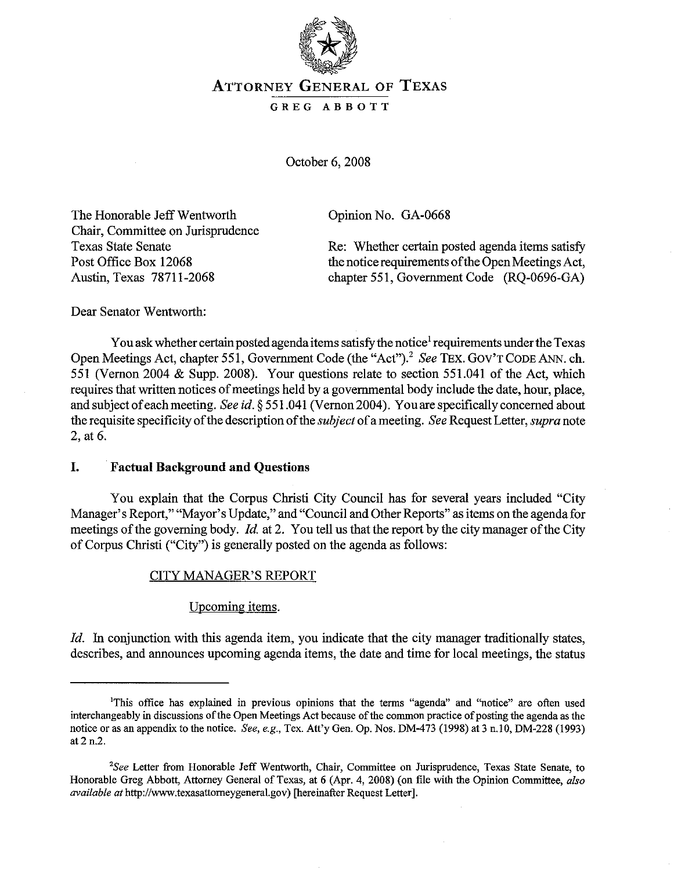

# ATTORNEY GENERAL OF TEXAS

GREG ABBOTT

October 6, 2008

The Honorable Jeff Wentworth Chair, Committee on Jurisprudence Texas State Senate Post Office Box 12068 Austin, Texas 78711-2068

Opinion No. GA-0668

Re: Whether certain posted agenda items satisfy the notice requirements of the Open Meetings Act, chapter 551, Government Code (RQ-0696-GA)

Dear Senator Wentworth:

You ask whether certain posted agenda items satisfy the notice<sup>1</sup> requirements under the Texas Open Meetings Act, chapter 551, Government Code (the "Act").<sup>2</sup> *See* TEX. GOV'T CODE ANN. ch. 551 (Vernon 2004 & Supp. 2008). Your questions relate to section 551.041 of the Act, which requires that written notices of meetings held by a governmental body include the date, hour, place, and subject ofeachmeeting. *See id.* § 551.041 (Vernon 2004). Youare specifically concerned about the requisite specificity of the description of the *subject* of a meeting. *See* Request Letter, *supra* note 2, at 6.

## I. Factual Background and Questions

You explain that the Corpus Christi City Council has for several years included "City Manager's Report," "Mayor's Update," and "Council and Other Reports" as items on the agenda for meetings of the governing body. *Id.* at 2. You tell us that the report by the city manager of the City ofCorpus Christi ("City") is generally posted on the agenda as follows:

## CITY MANAGER'S REPORT

### Upcoming items.

*Id.* In conjunction with this agenda item, you indicate that the city manager traditionally states, describes, and announces upcoming agenda items, the date and time for local meetings, the status

**IThis office has explained in previous opinions that the tenns** ~'agenda" **and "notice" are often used** interchangeably in discussions of the Open Meetings Act because of the common practice of posting the agenda as the notice or as an appendix to the notice. *See, e.g.,* Tex. Att'y Gen. Op. Nos. DM-473 (1998) at 3 n.IO, DM-228 (1993) at 2 n.2.

<sup>&</sup>lt;sup>2</sup>See Letter from Honorable Jeff Wentworth, Chair, Committee on Jurisprudence, Texas State Senate, to Honorable Greg Abbott, Attorney General of Texas, at 6 (Apr. 4, 2008) (on file with the Opinion Committee, also *available at* http://www.texasattorneygeneral.gov) [hereinafter Request Letter].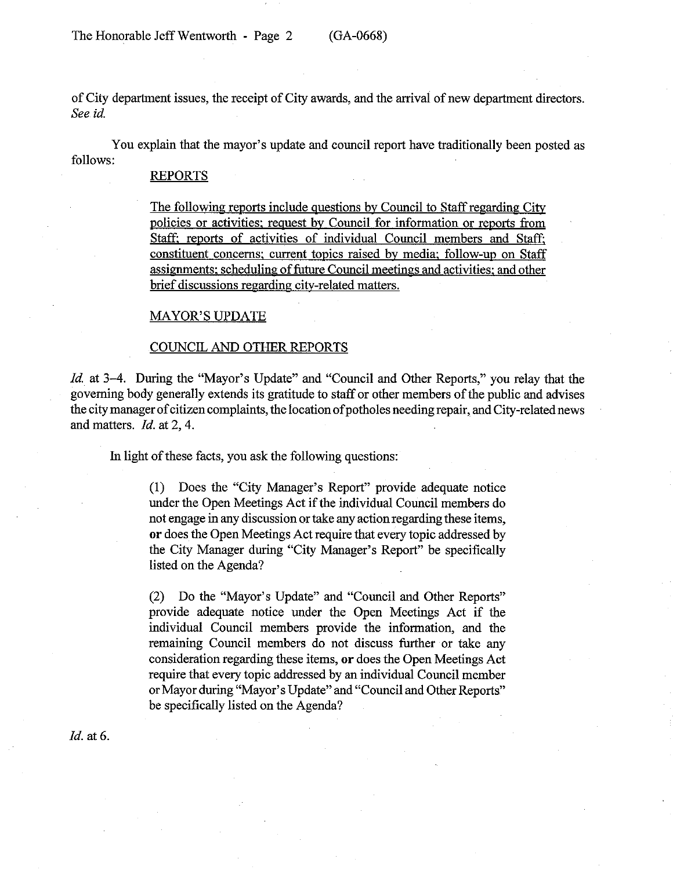ofCity department issues, the receipt ofCity awards, and the arrival of new department directors. *See id.*

You explain that the mayor's update and council report have traditionally been posted as follows:

#### REPORTS

The following reports include questions by Council to Staffregarding City policies or activities: request by Council for information or reports from Staff: reports of activities of individual Council members and Staff: constituent concerns: current topics raised by media: follow-up on Staff assignments: scheduling of future Council meetings and activities: and other brief discussions regarding city-related matters.

#### MAYOR'S UPDATE

#### COUNCIL AND OTHER REPORTS

*Id.* at 3–4. During the "Mayor's Update" and "Council and Other Reports," you relay that the governing body generally extends its gratitude to staff or other members ofthe public and advises the city manager of citizen complaints, the location of potholes needing repair, and City-related news and matters. *Id.* at 2, 4.

In light of these facts, you ask the following questions:

(1) Does the "City Manager's Report" provide adequate notice under the Open Meetings Act if the individual Council members do not engage in any discussion ortake any action regarding these items, **or** does the Open Meetings Act require that every topic addressed by the City Manager during "City Manager's Report" be specifically listed on the Agenda?

(2) Do the "Mayor's Update" and "Council and Other Reports" provide adequate notice under the Open Meetings Act if the individual Council members provide the information, and the remaining Council members do not discuss further or take any consideration regarding these items, **or** does the Open Meetings Act require that every topic addressed by an individual Council member or Mayor during "Mayor's Update" and "Council and Other Reports" be specifically listed on the Agenda?

/d. at 6.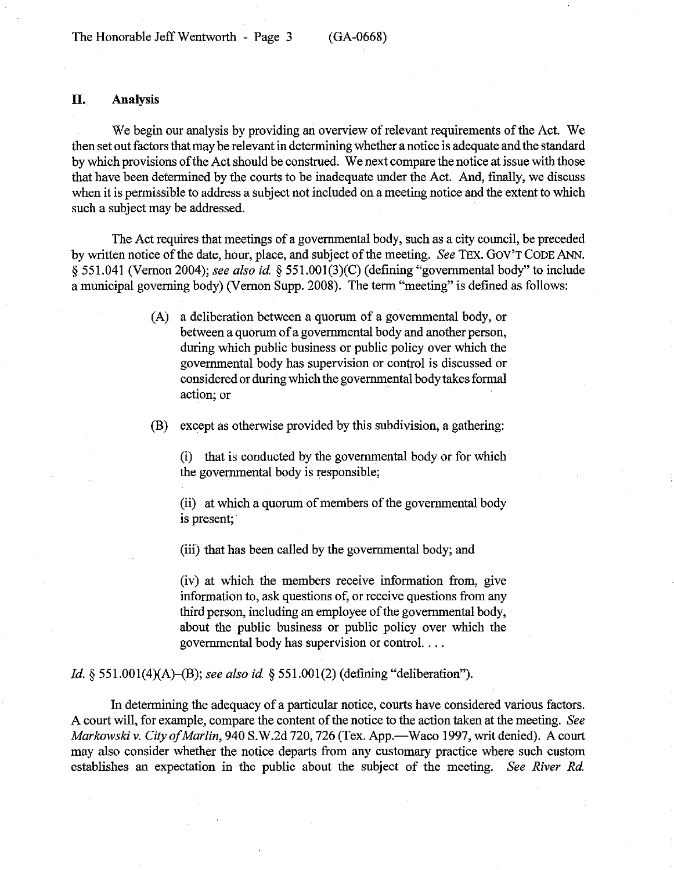### **II. Analysis**

We begin our analysis by providing an overview of relevant requirements of the Act. We then set out factors that may be relevant in determining whether a notice is adequate and the standard by which provisions of the Act should be construed. We next compare the notice at issue with those that have been determined by the courts to be inadequate under the Act. And, finally, we discuss when it is permissible to address a subject not included on a meeting notice and the extent to which such a subject may be addressed.

The Act requires that meetings of a governmental body, such as a city council, be preceded by written notice of the date, hour, place, and subject of the meeting. *See* TEX. GOV'T CODE ANN. § 551.041 (Vernon 2004); *see also id* § 551.001(3)(C) (defining "governmental body" to include a municipal governing body) (Vernon Supp. 2008). The term "meeting" is defined as follows:

> (A) a deliberation between a quorum of a governmental body, or between a quorum of a governmental body and another person, during which public business or public policy over which the governmental body has supervision or control is discussed or considered or during which the governmental body takes formal action; or

(B) except as otherwise provided by this subdivision, a gathering:

(i) that is conducted by the governmental body or for which the governmental body is responsible;

(ii) at which a quorum of members of the governmental body is present;

(iii) that has been called by the governmental body; and

(iv) at which the members receive information from, give information to, ask questions of, or receive questions from any third person, including an employee of the governmental body, about the public business or public policy over which the governmental body has supervision or control. ...

*Id.* § 551.001(4)(A)-(B); *see also id* § 551.001(2) (defining "deliberation").

In determining the adequacy of a particular notice, courts have considered various factors. A court will, for example, compare the content of the notice to the action taken at the meeting. See *Markowski v. City of Marlin, 940 S.W.2d 720, 726 (Tex. App.—Waco 1997, writ denied). A court* may also consider whether the notice departs from any customary practice where such custom establishes an expectation in the public about the subject of the meeting. *See River Rd.*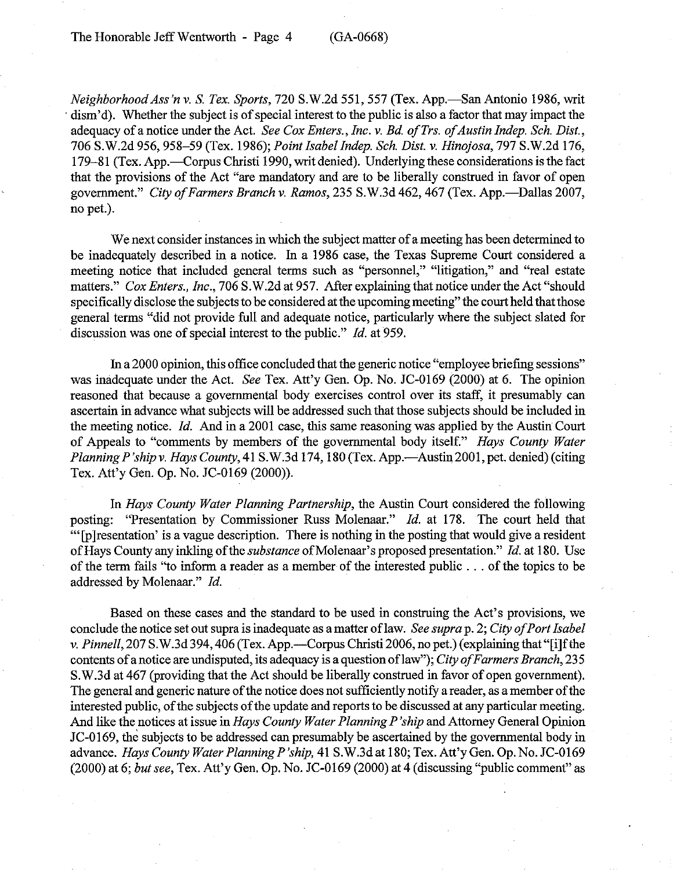*Neighborhood Ass'n* v. S. *Tex. Sports,* 720 S.W.2d 551, 557 (Tex. App.-San Antonio 1986, writ dism'd). Whether the subject is of special interest to the public is also a factor that may impact the adequacy ofanotice under the Act. *See Cox Enters., Inc.* v. *Bd ofTrs. ofAustin Indep. Sch. Dist.,* 706 S.W.2d 956, 958-59 (Tex. 1986); *Point Isabel Indep. Sch. Dist.* v. *Hinojosa,* 797 S.W.2d 176, 179-81 (Tex. App.—Corpus Christi 1990, writ denied). Underlying these considerations is the fact that the provisions of the Act "are mandatory and are to be liberally construed in favor of open government." *City ofFarmers Branch* v. *Ramos,* 235 S.W.3d 462, 467 (Tex. App.-Dallas 2007, no pet.).

We next consider instances in which the subject matter of a meeting has been determined to be inadequately described in a notice. In a 1986 case, the Texas Supreme Court considered a meeting notice that included general terms such as "personnel," "litigation," and "real estate matters." *Cox Enters., Inc.,* 706 S.W.2d at 957. After explaining that notice under the Act "should specifically disclose the subjects to be considered at the upcoming meeting" the court held that those general terms "did not provide full and adequate notice, particularly where the subject slated for discussion was one of special interest to the public." *Id.* at 959.

In a 2000 opinion, this office concluded that the generic notice "employee briefing sessions" was inadequate under the Act. *See* Tex. Att'y Gen. Op. No. JC-0169 (2000) at 6. The opinion reasoned that because a governmental body exercises control over its staff, it presumably can ascertain in advance what subjects will be addressed such that those subjects should be included in the meeting notice. *Id.* And in a 2001 case, this same reasoning was applied by the Austin Court of Appeals to "comments by members of the governmental body itself." *Hays County Water PlanningP 'ship* v. *Hays County,* 41 S.W.3d 174, 180 (Tex. App.-Austin 2001, pet. denied) (citing Tex. Att'y Gen. Op. No. JC-0169 (2000».

In *Hays County Water Planning Partnership,* the Austin Court considered the following posting: "Presentation by Commissioner Russ Molenaar." *Id.* at 178. The court held that '" [p]resentation' is a vague description. There is nothing in the posting that would give a resident ofHays County any inkling ofthe *substance* ofMolenaar's proposed presentation." *Id.* at 180. Use of the term fails "to inform a reader as a member of the interested public . . . of the topics to be addressed by Molenaar." *!d.*

Based on these cases and the standard to be used in construing the Act's provisions, we conclude the notice set outsupra is inadequate as a matter oflaw. *See supra* p. 2; *City ofPort Isabel* v. *Pinnell*, 207 S.W.3d 394, 406 (Tex. App.—Corpus Christi 2006, no pet.) (explaining that "[i]f the contents ofa notice are undisputed, its adequacy is a question oflaw"); *City ofFarmers Branch, 235* S.W.3d at 467 (providing that the Act should be liberally construed in favor of open government). The general and generic nature of the notice does not sufficiently notify a reader, as a member of the interested public, of the subjects of the update and reports to be discussed at any particular meeting. And like the notices at issue in *Hays County Water Planning P 'ship* and Attorney General Opinion JC-O169, the subjects to be addressed can presumably be ascertained by the governmental body in advance. *Hays County Water Planning P'ship,* 41 S.W.3d at 180; Tex. Att'y Gen. Op. No. JC-0169 (2000) at 6; *butsee,* Tex. Att'y Gen. Op. No. JC-0169 (2000) at 4 (discussing "public comment" as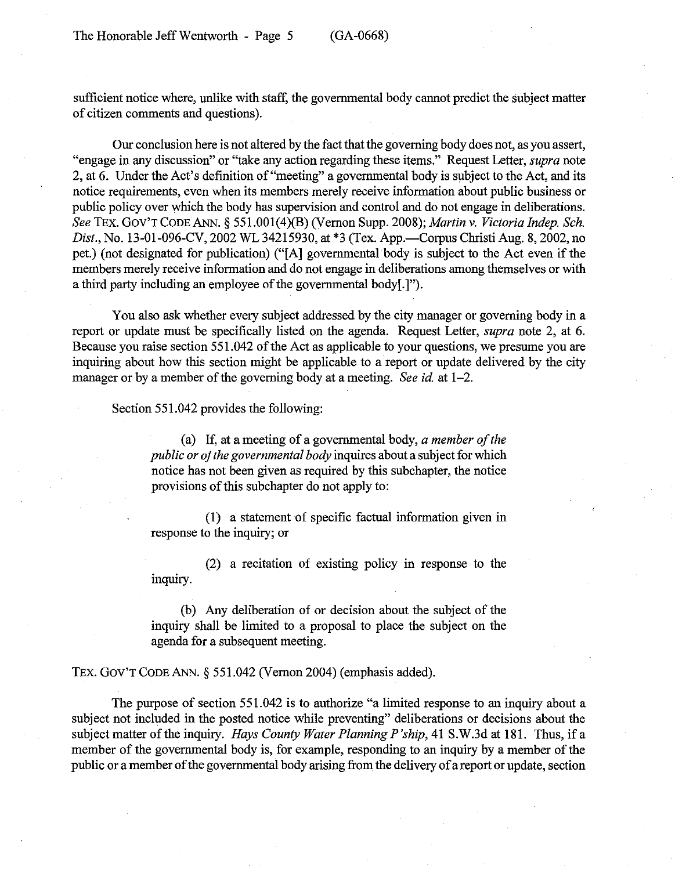sufficient notice where, unlike with staff, the governmental body cannot predict the subject matter of citizen comments and questions).

Our conclusion here is not altered by the fact that the governing body does not, as you assert, "engage in any discussion" or "take any action regarding these items." Request Letter, *supra* note 2, at 6. Under the Act's defInition of "meeting" a governmental body is subject to the Act, and its notice requirements, even when its members merely receive information about public business or public policy over which the body has supervision and control and do not engage in deliberations. *See* TEx. GOy'r CODE ANN. § 551.001(4)(B) (Vernon Supp. 2008); *Martin* v. *Victoria Indep. Sch. Dist.*, No. 13-01-096-CV, 2002 WL 34215930, at \*3 (Tex. App.—Corpus Christi Aug. 8, 2002, no pet.) (not designated for publication) ("[A] governmental body is subject to the Act even if the members merely receive information and do not engage in deliberations among themselves or with a third party including an employee of the governmental body[.]").

You also ask whether every subject addressed by the city manager or governing body in a report or update must be specifically listed on the agenda. Request Letter, *supra* note 2, at 6. Because you raise section 551.042 of the Act as applicable to your questions, we presume you are inquiring about how this section might be applicable to a report or update delivered by the city manager or by a member of the governing body at a meeting. *See id.* at 1–2.

Section 551.042 provides the following:

(a) If, at a meeting of a governmental body, *a member of the public or of the governmental body* inquires about a subject for which notice has not been given as required by this subchapter, the notice provisions of this subchapter do not apply to:

(1) a statement of specifIc factual information given in response to the inquiry; or

(2) a recitation of existing policy in response to the inquiry.

(b) Any deliberation of or decision about the subject of the inquiry shall be limited to a proposal to place the subject on the agenda for a subsequent meeting.

TEx. Goy'r CODE ANN. § 551.042 (Vernon 2004) (emphasis added).

The purpose of section 551.042 is to authorize "a limited response to an inquiry about a subject not included in the posted notice while preventing" deliberations or decisions about the subject matter of the inquiry. *Hays County Water Planning P'ship*, 41 S.W.3d at 181. Thus, if a member of the governmental body is, for example, responding to an inquiry by a member of the public or a member of the governmental body arising from the delivery of a report or update, section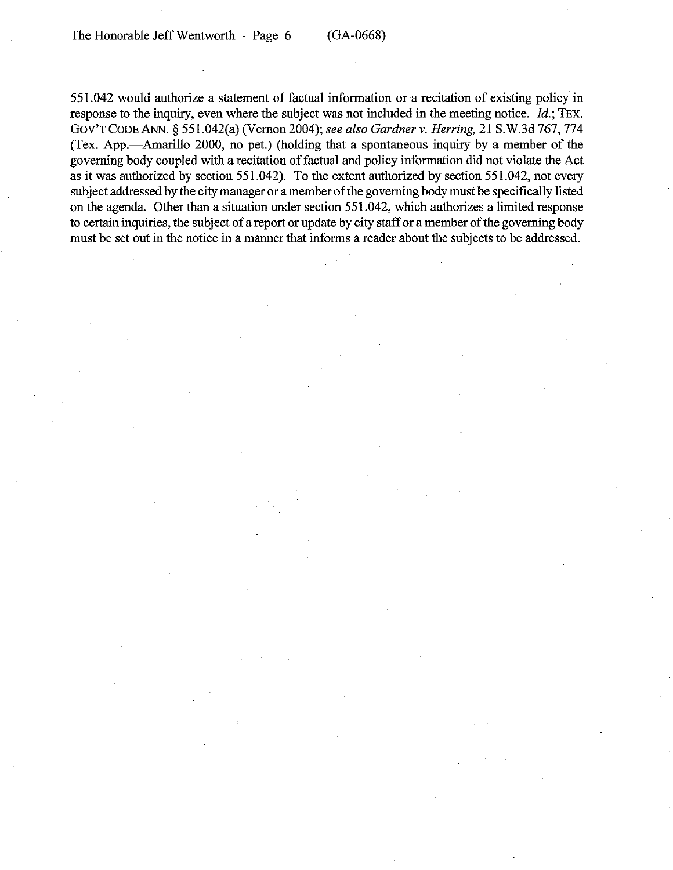551.042 would authorize a statement of factual information or a recitation of existing policy in response to the inquiry, even where the subject was not included in the meeting notice. *ld.;* TEx. GOV'TCODEANN. § 551.042(a)(Vernon 2004); *see also Gardner v. Herring,* 21 S.W.3d 767, 774 (Tex. App.-Amarillo 2000, no pet.) (holding that a spontaneous inquiry by a member of the governing body coupled with a recitation of factual and policy information did not violate the Act as it was authorized by section 551.042). To the extent authorized by section 551.042, not every subject addressed by the city manager or a member of the governing body must be specifically listed on the agenda. Other than a situation under section 551.042, which authorizes a limited response to certain inquiries, the subject of a report or update by city staff or a member of the governing body must be set out in the notice in a manner that informs a reader about the subjects to be addressed.